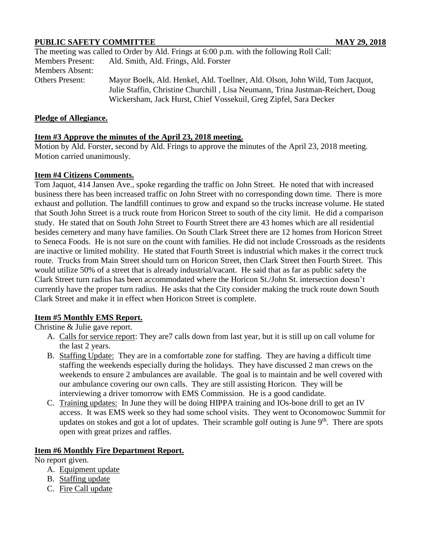# **PUBLIC SAFETY COMMITTEE MAY 29, 2018**

|                         | The meeting was called to Order by Ald. Frings at 6:00 p.m. with the following Roll Call: |
|-------------------------|-------------------------------------------------------------------------------------------|
| <b>Members Present:</b> | Ald. Smith, Ald. Frings, Ald. Forster                                                     |
| <b>Members Absent:</b>  |                                                                                           |
| <b>Others Present:</b>  | Mayor Boelk, Ald. Henkel, Ald. Toellner, Ald. Olson, John Wild, Tom Jacquot,              |
|                         | Julie Staffin, Christine Churchill, Lisa Neumann, Trina Justman-Reichert, Doug            |
|                         | Wickersham, Jack Hurst, Chief Vossekuil, Greg Zipfel, Sara Decker                         |

### **Pledge of Allegiance.**

### **Item #3 Approve the minutes of the April 23, 2018 meeting.**

Motion by Ald. Forster, second by Ald. Frings to approve the minutes of the April 23, 2018 meeting. Motion carried unanimously.

#### **Item #4 Citizens Comments.**

Tom Jaquot, 414 Jansen Ave., spoke regarding the traffic on John Street. He noted that with increased business there has been increased traffic on John Street with no corresponding down time. There is more exhaust and pollution. The landfill continues to grow and expand so the trucks increase volume. He stated that South John Street is a truck route from Horicon Street to south of the city limit. He did a comparison study. He stated that on South John Street to Fourth Street there are 43 homes which are all residential besides cemetery and many have families. On South Clark Street there are 12 homes from Horicon Street to Seneca Foods. He is not sure on the count with families. He did not include Crossroads as the residents are inactive or limited mobility. He stated that Fourth Street is industrial which makes it the correct truck route. Trucks from Main Street should turn on Horicon Street, then Clark Street then Fourth Street. This would utilize 50% of a street that is already industrial/vacant. He said that as far as public safety the Clark Street turn radius has been accommodated where the Horicon St./John St. intersection doesn't currently have the proper turn radius. He asks that the City consider making the truck route down South Clark Street and make it in effect when Horicon Street is complete.

### **Item #5 Monthly EMS Report.**

Christine & Julie gave report.

- A. Calls for service report: They are7 calls down from last year, but it is still up on call volume for the last 2 years.
- B. Staffing Update: They are in a comfortable zone for staffing. They are having a difficult time staffing the weekends especially during the holidays. They have discussed 2 man crews on the weekends to ensure 2 ambulances are available. The goal is to maintain and be well covered with our ambulance covering our own calls. They are still assisting Horicon. They will be interviewing a driver tomorrow with EMS Commission. He is a good candidate.
- C. Training updates: In June they will be doing HIPPA training and IOs-bone drill to get an IV access. It was EMS week so they had some school visits. They went to Oconomowoc Summit for updates on stokes and got a lot of updates. Their scramble golf outing is June 9<sup>th</sup>. There are spots open with great prizes and raffles.

### **Item #6 Monthly Fire Department Report.**

No report given.

- A. Equipment update
- B. Staffing update
- C. Fire Call update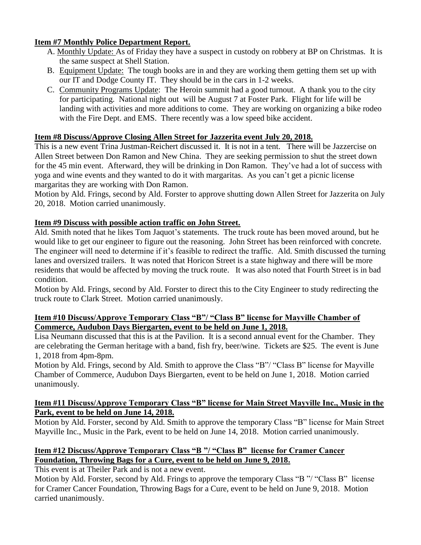## **Item #7 Monthly Police Department Report.**

- A. Monthly Update: As of Friday they have a suspect in custody on robbery at BP on Christmas. It is the same suspect at Shell Station.
- B. Equipment Update: The tough books are in and they are working them getting them set up with our IT and Dodge County IT. They should be in the cars in 1-2 weeks.
- C. Community Programs Update: The Heroin summit had a good turnout. A thank you to the city for participating. National night out will be August 7 at Foster Park. Flight for life will be landing with activities and more additions to come. They are working on organizing a bike rodeo with the Fire Dept. and EMS. There recently was a low speed bike accident.

## **Item #8 Discuss/Approve Closing Allen Street for Jazzerita event July 20, 2018.**

This is a new event Trina Justman-Reichert discussed it. It is not in a tent. There will be Jazzercise on Allen Street between Don Ramon and New China. They are seeking permission to shut the street down for the 45 min event. Afterward, they will be drinking in Don Ramon. They've had a lot of success with yoga and wine events and they wanted to do it with margaritas. As you can't get a picnic license margaritas they are working with Don Ramon.

Motion by Ald. Frings, second by Ald. Forster to approve shutting down Allen Street for Jazzerita on July 20, 2018. Motion carried unanimously.

## **Item #9 Discuss with possible action traffic on John Street.**

Ald. Smith noted that he likes Tom Jaquot's statements. The truck route has been moved around, but he would like to get our engineer to figure out the reasoning. John Street has been reinforced with concrete. The engineer will need to determine if it's feasible to redirect the traffic. Ald. Smith discussed the turning lanes and oversized trailers. It was noted that Horicon Street is a state highway and there will be more residents that would be affected by moving the truck route. It was also noted that Fourth Street is in bad condition.

Motion by Ald. Frings, second by Ald. Forster to direct this to the City Engineer to study redirecting the truck route to Clark Street. Motion carried unanimously.

#### **Item #10 Discuss/Approve Temporary Class "B"/ "Class B" license for Mayville Chamber of Commerce, Audubon Days Biergarten, event to be held on June 1, 2018.**

Lisa Neumann discussed that this is at the Pavilion. It is a second annual event for the Chamber. They are celebrating the German heritage with a band, fish fry, beer/wine. Tickets are \$25. The event is June 1, 2018 from 4pm-8pm.

Motion by Ald. Frings, second by Ald. Smith to approve the Class "B"/ "Class B" license for Mayville Chamber of Commerce, Audubon Days Biergarten, event to be held on June 1, 2018. Motion carried unanimously.

## **Item #11 Discuss/Approve Temporary Class "B" license for Main Street Mayville Inc., Music in the Park, event to be held on June 14, 2018.**

Motion by Ald. Forster, second by Ald. Smith to approve the temporary Class "B" license for Main Street Mayville Inc., Music in the Park, event to be held on June 14, 2018. Motion carried unanimously.

# **Item #12 Discuss/Approve Temporary Class "B "/ "Class B" license for Cramer Cancer Foundation, Throwing Bags for a Cure, event to be held on June 9, 2018.**

This event is at Theiler Park and is not a new event.

Motion by Ald. Forster, second by Ald. Frings to approve the temporary Class "B "/ "Class B" license for Cramer Cancer Foundation, Throwing Bags for a Cure, event to be held on June 9, 2018. Motion carried unanimously.